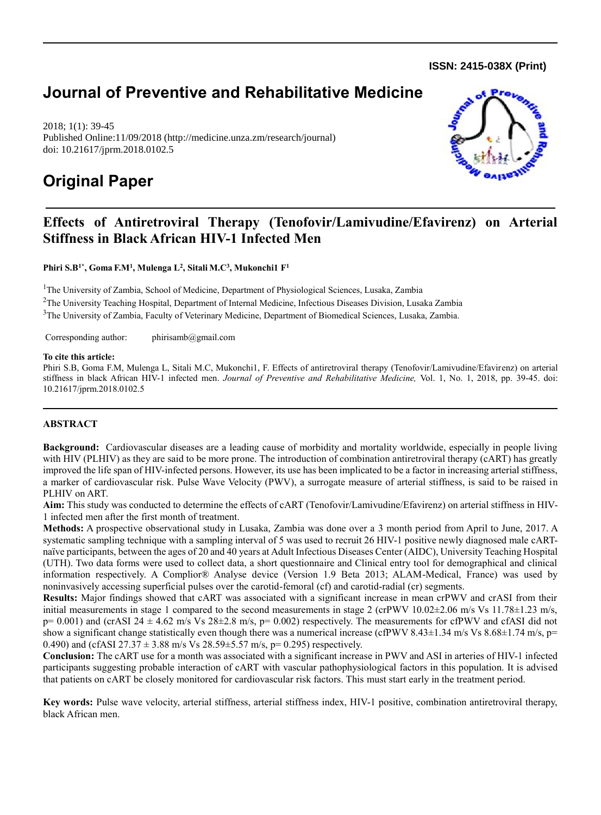**ISSN: 2415-038X (Print)** 

# **Journal of Preventive and Rehabilitative Medicine**

2018; 1(1): 39-45 Published Online:11/09/2018 (http://medicine.unza.zm/research/journal) doi: 10.21617/jprm.2018.0102.5

# **Original Paper**



## **Effects of Antiretroviral Therapy (Tenofovir/Lamivudine/Efavirenz) on Arterial Stiffness in Black African HIV-1 Infected Men**

**Phiri S.B1\*, Goma F.M<sup>1</sup> , Mulenga L<sup>2</sup> , Sitali M.C<sup>3</sup> , Mukonchi1 F 1**

<sup>1</sup>The University of Zambia, School of Medicine, Department of Physiological Sciences, Lusaka, Zambia <sup>2</sup>The University Teaching Hospital, Department of Internal Medicine, Infectious Diseases Division, Lusaka Zambia <sup>3</sup>The University of Zambia, Faculty of Veterinary Medicine, Department of Biomedical Sciences, Lusaka, Zambia.

Corresponding author: phirisamb@gmail.com

#### **To cite this article:**

Phiri S.B, Goma F.M, Mulenga L, Sitali M.C, Mukonchi1, F. Effects of antiretroviral therapy (Tenofovir/Lamivudine/Efavirenz) on arterial stiffness in black African HIV-1 infected men. *Journal of Preventive and Rehabilitative Medicine,* Vol. 1, No. 1, 2018, pp. 39-45. doi: 10.21617/jprm.2018.0102.5

## **ABSTRACT**

**Background:** Cardiovascular diseases are a leading cause of morbidity and mortality worldwide, especially in people living with HIV (PLHIV) as they are said to be more prone. The introduction of combination antiretroviral therapy (cART) has greatly improved the life span of HIV-infected persons. However, its use has been implicated to be a factor in increasing arterial stiffness, a marker of cardiovascular risk. Pulse Wave Velocity (PWV), a surrogate measure of arterial stiffness, is said to be raised in PLHIV on ART.

**Aim:** This study was conducted to determine the effects of cART (Tenofovir/Lamivudine/Efavirenz) on arterial stiffness in HIV-1 infected men after the first month of treatment.

**Methods:** A prospective observational study in Lusaka, Zambia was done over a 3 month period from April to June, 2017. A systematic sampling technique with a sampling interval of 5 was used to recruit 26 HIV-1 positive newly diagnosed male cARTnaïve participants, between the ages of 20 and 40 years at Adult Infectious Diseases Center (AIDC), University Teaching Hospital (UTH). Two data forms were used to collect data, a short questionnaire and Clinical entry tool for demographical and clinical information respectively. A Complior® Analyse device (Version 1.9 Beta 2013; ALAM-Medical, France) was used by noninvasively accessing superficial pulses over the carotid-femoral (cf) and carotid-radial (cr) segments.

**Results:** Major findings showed that cART was associated with a significant increase in mean crPWV and crASI from their initial measurements in stage 1 compared to the second measurements in stage 2 (crPWV  $10.02\pm2.06$  m/s Vs  $11.78\pm1.23$  m/s,  $p= 0.001$ ) and (crASI 24  $\pm$  4.62 m/s Vs 28 $\pm$ 2.8 m/s,  $p= 0.002$ ) respectively. The measurements for cfPWV and cfASI did not show a significant change statistically even though there was a numerical increase (cfPWV 8.43±1.34 m/s Vs 8.68±1.74 m/s, p= 0.490) and (cfASI 27.37  $\pm$  3.88 m/s Vs 28.59 $\pm$ 5.57 m/s, p= 0.295) respectively.

**Conclusion:** The cART use for a month was associated with a significant increase in PWV and ASI in arteries of HIV-1 infected participants suggesting probable interaction of cART with vascular pathophysiological factors in this population. It is advised that patients on cART be closely monitored for cardiovascular risk factors. This must start early in the treatment period.

**Key words:** Pulse wave velocity, arterial stiffness, arterial stiffness index, HIV-1 positive, combination antiretroviral therapy, black African men.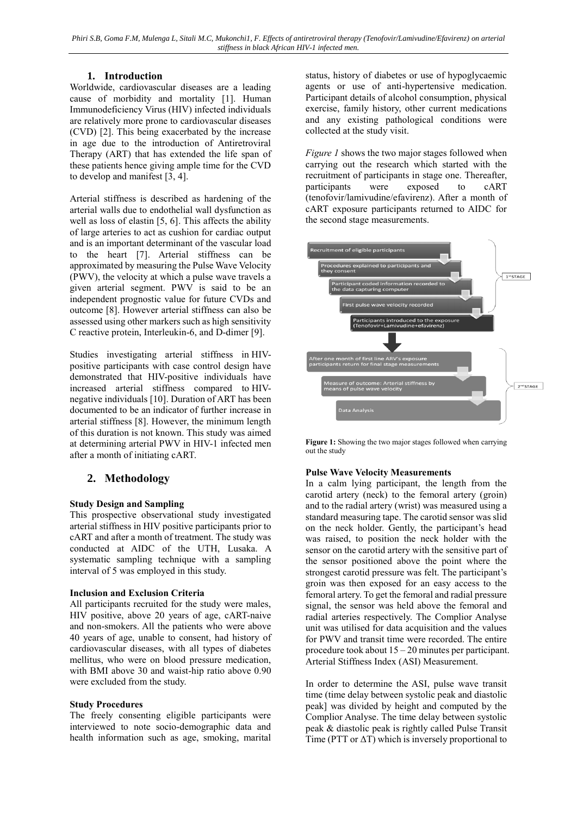## **1. Introduction**

Worldwide, cardiovascular diseases are a leading cause of morbidity and mortality [1]. Human Immunodeficiency Virus (HIV) infected individuals are relatively more prone to cardiovascular diseases (CVD) [2]. This being exacerbated by the increase in age due to the introduction of Antiretroviral Therapy (ART) that has extended the life span of these patients hence giving ample time for the CVD to develop and manifest [3, 4].

Arterial stiffness is described as hardening of the arterial walls due to endothelial wall dysfunction as well as loss of elastin [5, 6]. This affects the ability of large arteries to act as cushion for cardiac output and is an important determinant of the vascular load to the heart [7]. Arterial stiffness can be approximated by measuring the Pulse Wave Velocity (PWV), the velocity at which a pulse wave travels a given arterial segment. PWV is said to be an independent prognostic value for future CVDs and outcome [8]. However arterial stiffness can also be assessed using other markers such as high sensitivity C reactive protein, Interleukin-6, and D-dimer [9].

Studies investigating arterial stiffness in HIVpositive participants with case control design have demonstrated that HIV-positive individuals have increased arterial stiffness compared to HIVnegative individuals [10]. Duration of ART has been documented to be an indicator of further increase in arterial stiffness [8]. However, the minimum length of this duration is not known. This study was aimed at determining arterial PWV in HIV-1 infected men after a month of initiating cART.

## **2. Methodology**

## **Study Design and Sampling**

This prospective observational study investigated arterial stiffness in HIV positive participants prior to cART and after a month of treatment. The study was conducted at AIDC of the UTH, Lusaka. A systematic sampling technique with a sampling interval of 5 was employed in this study.

## **Inclusion and Exclusion Criteria**

All participants recruited for the study were males, HIV positive, above 20 years of age, cART-naive and non-smokers. All the patients who were above 40 years of age, unable to consent, had history of cardiovascular diseases, with all types of diabetes mellitus, who were on blood pressure medication, with BMI above 30 and waist-hip ratio above 0.90 were excluded from the study.

## **Study Procedures**

The freely consenting eligible participants were interviewed to note socio-demographic data and health information such as age, smoking, marital status, history of diabetes or use of hypoglycaemic agents or use of anti-hypertensive medication. Participant details of alcohol consumption, physical exercise, family history, other current medications and any existing pathological conditions were collected at the study visit.

*Figure 1* shows the two major stages followed when carrying out the research which started with the recruitment of participants in stage one. Thereafter, participants were exposed to cART (tenofovir/lamivudine/efavirenz). After a month of cART exposure participants returned to AIDC for the second stage measurements.



**Figure 1:** Showing the two major stages followed when carrying out the study

## **Pulse Wave Velocity Measurements**

In a calm lying participant, the length from the carotid artery (neck) to the femoral artery (groin) and to the radial artery (wrist) was measured using a standard measuring tape. The carotid sensor was slid on the neck holder. Gently, the participant's head was raised, to position the neck holder with the sensor on the carotid artery with the sensitive part of the sensor positioned above the point where the strongest carotid pressure was felt. The participant's groin was then exposed for an easy access to the femoral artery. To get the femoral and radial pressure signal, the sensor was held above the femoral and radial arteries respectively. The Complior Analyse unit was utilised for data acquisition and the values for PWV and transit time were recorded. The entire procedure took about 15 – 20 minutes per participant. Arterial Stiffness Index (ASI) Measurement.

In order to determine the ASI, pulse wave transit time (time delay between systolic peak and diastolic peak] was divided by height and computed by the Complior Analyse. The time delay between systolic peak & diastolic peak is rightly called Pulse Transit Time (PTT or  $\Delta T$ ) which is inversely proportional to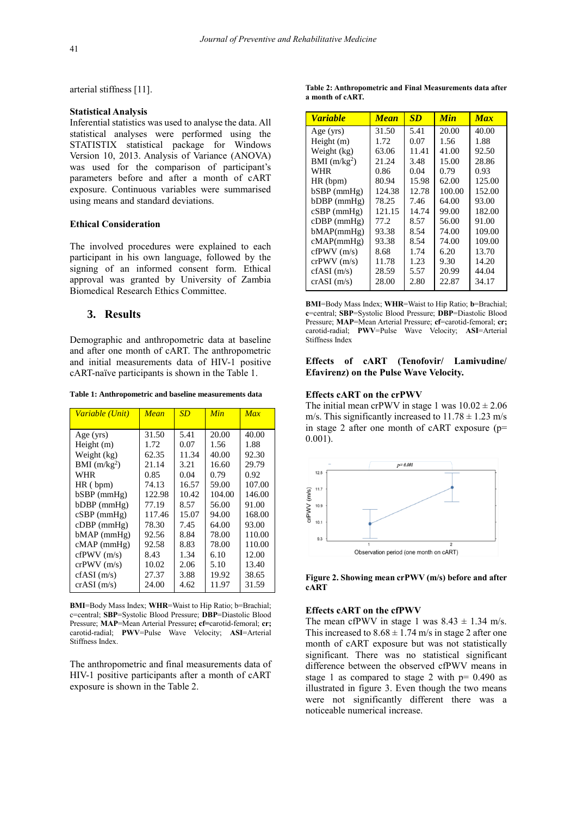arterial stiffness [11].

#### **Statistical Analysis**

Inferential statistics was used to analyse the data. All statistical analyses were performed using the STATISTIX statistical package for Windows Version 10, 2013. Analysis of Variance (ANOVA) was used for the comparison of participant's parameters before and after a month of cART exposure. Continuous variables were summarised using means and standard deviations.

#### **Ethical Consideration**

The involved procedures were explained to each participant in his own language, followed by the signing of an informed consent form. Ethical approval was granted by University of Zambia Biomedical Research Ethics Committee.

## **3. Results**

Demographic and anthropometric data at baseline and after one month of cART. The anthropometric and initial measurements data of HIV-1 positive cART-naïve participants is shown in the Table 1.

**Table 1: Anthropometric and baseline measurements data**

| Variable (Unit) | Mean   | <b>SD</b> | Min    | Max    |
|-----------------|--------|-----------|--------|--------|
|                 |        |           |        |        |
| Age (yrs)       | 31.50  | 5.41      | 20.00  | 40.00  |
| Height (m)      | 1.72   | 0.07      | 1.56   | 1.88   |
| Weight (kg)     | 62.35  | 11.34     | 40.00  | 92.30  |
| BMI $(m/kg2)$   | 21.14  | 3.21      | 16.60  | 29.79  |
| WHR             | 0.85   | 0.04      | 0.79   | 0.92   |
| $HR$ (bpm)      | 74.13  | 16.57     | 59.00  | 107.00 |
| $bSBP$ (mmHg)   | 122.98 | 10.42     | 104.00 | 146.00 |
| $bDBP$ (mmHg)   | 77.19  | 8.57      | 56.00  | 91.00  |
| $cSBP$ (mmHg)   | 117.46 | 15.07     | 94.00  | 168.00 |
| $cDBP$ (mmHg)   | 78.30  | 7.45      | 64.00  | 93.00  |
| $bMAP$ (mmHg)   | 92.56  | 8.84      | 78.00  | 110.00 |
| $cMAP$ (mmHg)   | 92.58  | 8.83      | 78.00  | 110.00 |
| cfPWV(m/s)      | 8.43   | 1.34      | 6.10   | 12.00  |
| crPWV(m/s)      | 10.02  | 2.06      | 5.10   | 13.40  |
| cfASI(m/s)      | 27.37  | 3.88      | 19.92  | 38.65  |
| crASI(m/s)      | 24.00  | 4.62      | 11.97  | 31.59  |

**BMI**=Body Mass Index; **WHR**=Waist to Hip Ratio; b=Brachial; c=central; **SBP**=Systolic Blood Pressure; **DBP**=Diastolic Blood Pressure; **MAP**=Mean Arterial Pressure**; cf=**carotid-femoral; **cr;** carotid-radial; **PWV**=Pulse Wave Velocity; **ASI**=Arterial Stiffness Index.

The anthropometric and final measurements data of HIV-1 positive participants after a month of cART exposure is shown in the Table 2.

**Table 2: Anthropometric and Final Measurements data after a month of cART.**

| <b>Variable</b> | <b>Mean</b> | <b>SD</b> | <b>Min</b> | <b>Max</b> |
|-----------------|-------------|-----------|------------|------------|
| Age $(yrs)$     | 31.50       | 5.41      | 20.00      | 40.00      |
| Height (m)      | 1.72        | 0.07      | 1.56       | 1.88       |
| Weight (kg)     | 63.06       | 11.41     | 41.00      | 92.50      |
| BMI $(m/kg2)$   | 21.24       | 3.48      | 15.00      | 28.86      |
| WHR             | 0.86        | 0.04      | 0.79       | 0.93       |
| $HR$ (bpm)      | 80.94       | 15.98     | 62.00      | 125.00     |
| $bSBP$ (mmHg)   | 124.38      | 12.78     | 100.00     | 152.00     |
| $bDBP$ (mmHg)   | 78.25       | 7.46      | 64.00      | 93.00      |
| $cSBP$ (mmHg)   | 121.15      | 14.74     | 99.00      | 182.00     |
| $cDBP$ (mmHg)   | 77.2        | 8.57      | 56.00      | 91.00      |
| bMAP(mmHg)      | 93.38       | 8.54      | 74.00      | 109.00     |
| cMAP(mmHg)      | 93.38       | 8.54      | 74.00      | 109.00     |
| cfPWV(m/s)      | 8.68        | 1.74      | 6.20       | 13.70      |
| crPWV(m/s)      | 11.78       | 1.23      | 9.30       | 14.20      |
| cfASI(m/s)      | 28.59       | 5.57      | 20.99      | 44.04      |
| crASI(m/s)      | 28.00       | 2.80      | 22.87      | 34.17      |

**BMI**=Body Mass Index; **WHR**=Waist to Hip Ratio; **b**=Brachial; **c**=central; **SBP**=Systolic Blood Pressure; **DBP**=Diastolic Blood Pressure; **MAP**=Mean Arterial Pressure; **cf**=carotid-femoral; **cr;** carotid-radial; **PWV**=Pulse Wave Velocity; **ASI**=Arterial Stiffness Index

#### **Effects of cART (Tenofovir/ Lamivudine/ Efavirenz) on the Pulse Wave Velocity.**

#### **Effects cART on the crPWV**

The initial mean crPWV in stage 1 was  $10.02 \pm 2.06$ m/s. This significantly increased to  $11.78 \pm 1.23$  m/s in stage 2 after one month of cART exposure (p= 0.001).



**Figure 2. Showing mean crPWV (m/s) before and after cART**

#### **Effects cART on the cfPWV**

The mean cfPWV in stage 1 was  $8.43 \pm 1.34$  m/s. This increased to  $8.68 \pm 1.74$  m/s in stage 2 after one month of cART exposure but was not statistically significant. There was no statistical significant difference between the observed cfPWV means in stage 1 as compared to stage 2 with  $p = 0.490$  as illustrated in figure 3. Even though the two means were not significantly different there was a noticeable numerical increase.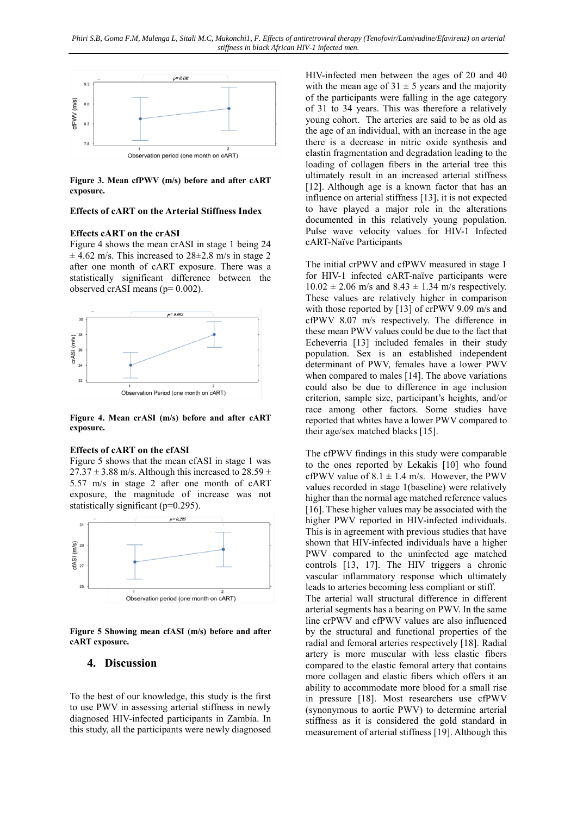

**Figure 3. Mean cfPWV (m/s) before and after cART exposure.**

#### **Effects of cART on the Arterial Stiffness Index**

#### **Effects cART on the crASI**

Figure 4 shows the mean crASI in stage 1 being 24  $\pm$  4.62 m/s. This increased to 28 $\pm$ 2.8 m/s in stage 2 after one month of cART exposure. There was a statistically significant difference between the observed crASI means (p= 0.002).



**Figure 4. Mean crASI (m/s) before and after cART exposure.**

## **Effects of cART on the cfASI**

Figure 5 shows that the mean cfASI in stage 1 was  $27.37 \pm 3.88$  m/s. Although this increased to  $28.59 \pm$ 5.57 m/s in stage 2 after one month of cART exposure, the magnitude of increase was not statistically significant (p=0.295).



**Figure 5 Showing mean cfASI (m/s) before and after cART exposure.**

## **4. Discussion**

To the best of our knowledge, this study is the first to use PWV in assessing arterial stiffness in newly diagnosed HIV-infected participants in Zambia. In this study, all the participants were newly diagnosed

HIV-infected men between the ages of 20 and 40 with the mean age of  $31 \pm 5$  years and the majority of the participants were falling in the age category of 31 to 34 years. This was therefore a relatively young cohort. The arteries are said to be as old as the age of an individual, with an increase in the age there is a decrease in nitric oxide synthesis and elastin fragmentation and degradation leading to the loading of collagen fibers in the arterial tree this ultimately result in an increased arterial stiffness [12]. Although age is a known factor that has an influence on arterial stiffness [13], it is not expected to have played a major role in the alterations documented in this relatively young population. Pulse wave velocity values for HIV-1 Infected cART-Naïve Participants

The initial crPWV and cfPWV measured in stage 1 for HIV-1 infected cART-naïve participants were  $10.02 \pm 2.06$  m/s and  $8.43 \pm 1.34$  m/s respectively. These values are relatively higher in comparison with those reported by [13] of crPWV 9.09 m/s and cfPWV 8.07 m/s respectively. The difference in these mean PWV values could be due to the fact that Echeverria [13] included females in their study population. Sex is an established independent determinant of PWV, females have a lower PWV when compared to males [14]. The above variations could also be due to difference in age inclusion criterion, sample size, participant's heights, and/or race among other factors. Some studies have reported that whites have a lower PWV compared to their age/sex matched blacks [15].

The cfPWV findings in this study were comparable to the ones reported by Lekakis [10] who found cfPWV value of  $8.1 \pm 1.4$  m/s. However, the PWV values recorded in stage 1(baseline) were relatively higher than the normal age matched reference values [16]. These higher values may be associated with the higher PWV reported in HIV-infected individuals. This is in agreement with previous studies that have shown that HIV-infected individuals have a higher PWV compared to the uninfected age matched controls [13, 17]. The HIV triggers a chronic vascular inflammatory response which ultimately leads to arteries becoming less compliant or stiff. The arterial wall structural difference in different arterial segments has a bearing on PWV. In the same line crPWV and cfPWV values are also influenced by the structural and functional properties of the radial and femoral arteries respectively [18]. Radial artery is more muscular with less elastic fibers compared to the elastic femoral artery that contains more collagen and elastic fibers which offers it an ability to accommodate more blood for a small rise in pressure [18]. Most researchers use cfPWV (synonymous to aortic PWV) to determine arterial stiffness as it is considered the gold standard in measurement of arterial stiffness [19]. Although this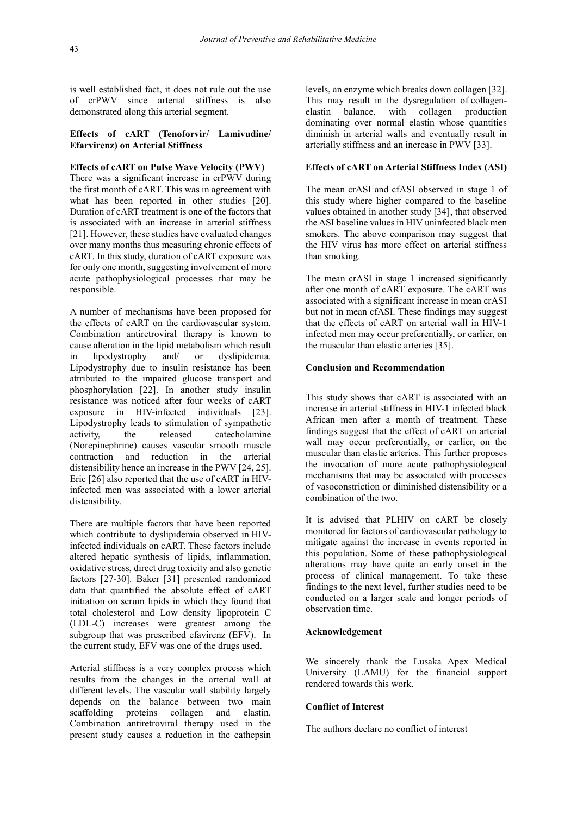is well established fact, it does not rule out the use of crPWV since arterial stiffness is also demonstrated along this arterial segment.

#### **Effects of cART (Tenoforvir/ Lamivudine/ Efarvirenz) on Arterial Stiffness**

#### **Effects of cART on Pulse Wave Velocity (PWV)**

There was a significant increase in crPWV during the first month of cART. This was in agreement with what has been reported in other studies [20]. Duration of cART treatment is one of the factors that is associated with an increase in arterial stiffness [21]. However, these studies have evaluated changes over many months thus measuring chronic effects of cART. In this study, duration of cART exposure was for only one month, suggesting involvement of more acute pathophysiological processes that may be responsible.

A number of mechanisms have been proposed for the effects of cART on the cardiovascular system. Combination antiretroviral therapy is known to cause alteration in the lipid metabolism which result in lipodystrophy and/ or dyslipidemia. Lipodystrophy due to insulin resistance has been attributed to the impaired glucose transport and phosphorylation [22]. In another study insulin resistance was noticed after four weeks of cART exposure in HIV-infected individuals [23]. Lipodystrophy leads to stimulation of sympathetic activity, the released catecholamine (Norepinephrine) causes vascular smooth muscle contraction and reduction in the arterial distensibility hence an increase in the PWV [24, 25]. Eric [26] also reported that the use of cART in HIVinfected men was associated with a lower arterial distensibility.

There are multiple factors that have been reported which contribute to dyslipidemia observed in HIVinfected individuals on cART. These factors include altered hepatic synthesis of lipids, inflammation, oxidative stress, direct drug toxicity and also genetic factors [27-30]. Baker [31] presented randomized data that quantified the absolute effect of cART initiation on serum lipids in which they found that total cholesterol and Low density lipoprotein C (LDL-C) increases were greatest among the subgroup that was prescribed efavirenz (EFV). In the current study, EFV was one of the drugs used.

Arterial stiffness is a very complex process which results from the changes in the arterial wall at different levels. The vascular wall stability largely depends on the balance between two main scaffolding proteins collagen and elastin. Combination antiretroviral therapy used in the present study causes a reduction in the cathepsin

levels, an enzyme which breaks down collagen [32]. This may result in the dysregulation of collagenelastin balance, with collagen production dominating over normal elastin whose quantities diminish in arterial walls and eventually result in arterially stiffness and an increase in PWV [33].

#### **Effects of cART on Arterial Stiffness Index (ASI)**

The mean crASI and cfASI observed in stage 1 of this study where higher compared to the baseline values obtained in another study [34], that observed the ASI baseline values in HIV uninfected black men smokers. The above comparison may suggest that the HIV virus has more effect on arterial stiffness than smoking.

The mean crASI in stage 1 increased significantly after one month of cART exposure. The cART was associated with a significant increase in mean crASI but not in mean cfASI. These findings may suggest that the effects of cART on arterial wall in HIV-1 infected men may occur preferentially, or earlier, on the muscular than elastic arteries [35].

## **Conclusion and Recommendation**

This study shows that cART is associated with an increase in arterial stiffness in HIV-1 infected black African men after a month of treatment. These findings suggest that the effect of cART on arterial wall may occur preferentially, or earlier, on the muscular than elastic arteries. This further proposes the invocation of more acute pathophysiological mechanisms that may be associated with processes of vasoconstriction or diminished distensibility or a combination of the two.

It is advised that PLHIV on cART be closely monitored for factors of cardiovascular pathology to mitigate against the increase in events reported in this population. Some of these pathophysiological alterations may have quite an early onset in the process of clinical management. To take these findings to the next level, further studies need to be conducted on a larger scale and longer periods of observation time.

#### **Acknowledgement**

We sincerely thank the Lusaka Apex Medical University (LAMU) for the financial support rendered towards this work.

#### **Conflict of Interest**

The authors declare no conflict of interest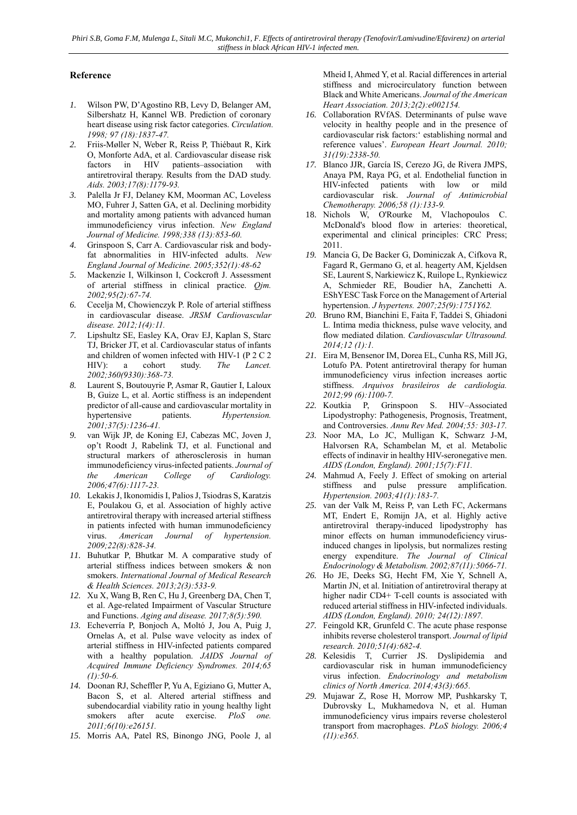## **Reference**

- *1.* Wilson PW, D'Agostino RB, Levy D, Belanger AM, Silbershatz H, Kannel WB. Prediction of coronary heart disease using risk factor categories. *Circulation. 1998; 97 (18):1837-47.*
- *2.* Friis-Møller N, Weber R, Reiss P, Thiébaut R, Kirk O, Monforte AdA, et al. Cardiovascular disease risk factors in HIV patients–association with antiretroviral therapy. Results from the DAD study. *Aids. 2003;17(8):1179-93.*
- *3.* Palella Jr FJ, Delaney KM, Moorman AC, Loveless MO, Fuhrer J, Satten GA, et al. Declining morbidity and mortality among patients with advanced human immunodeficiency virus infection. *New England Journal of Medicine. 1998;338 (13):853-60.*
- *4.* Grinspoon S, Carr A. Cardiovascular risk and bodyfat abnormalities in HIV-infected adults. *New England Journal of Medicine. 2005;352(1):48-62*
- *5.* Mackenzie I, Wilkinson I, Cockcroft J. Assessment of arterial stiffness in clinical practice. *Qjm. 2002;95(2):67-74.*
- *6.* Cecelja M, Chowienczyk P. Role of arterial stiffness in cardiovascular disease. *JRSM Cardiovascular disease. 2012;1(4):11.*
- *7.* Lipshultz SE, Easley KA, Orav EJ, Kaplan S, Starc TJ, Bricker JT, et al. Cardiovascular status of infants and children of women infected with HIV-1 (P 2 C 2 HIV): a cohort study. *The Lancet*. *2002;360(9330):368-73.*
- *8.* Laurent S, Boutouyrie P, Asmar R, Gautier I, Laloux B, Guize L, et al. Aortic stiffness is an independent predictor of all-cause and cardiovascular mortality in hypertensive patients. *Hypertension. 2001;37(5):1236-41.*
- *9.* van Wijk JP, de Koning EJ, Cabezas MC, Joven J, op't Roodt J, Rabelink TJ, et al. Functional and structural markers of atherosclerosis in human immunodeficiency virus-infected patients. *Journal of the American College of Cardiology. 2006;47(6):1117-23.*
- *10.* Lekakis J, Ikonomidis I, Palios J, Tsiodras S, Karatzis E, Poulakou G, et al. Association of highly active antiretroviral therapy with increased arterial stiffness in patients infected with human immunodeficiency virus. *American Journal of hypertension. 2009;22(8):828-34.*
- *11.* Buhutkar P, Bhutkar M. A comparative study of arterial stiffness indices between smokers & non smokers. *International Journal of Medical Research & Health Sciences. 2013;2(3):533-9.*
- *12.* Xu X, Wang B, Ren C, Hu J, Greenberg DA, Chen T, et al. Age-related Impairment of Vascular Structure and Functions. *Aging and disease. 2017;8(5):590.*
- *13.* Echeverría P, Bonjoch A, Moltó J, Jou A, Puig J, Ornelas A, et al. Pulse wave velocity as index of arterial stiffness in HIV-infected patients compared with a healthy population. *JAIDS Journal of Acquired Immune Deficiency Syndromes. 2014;65 (1):50-6.*
- *14.* Doonan RJ, Scheffler P, Yu A, Egiziano G, Mutter A, Bacon S, et al. Altered arterial stiffness and subendocardial viability ratio in young healthy light smokers after acute exercise. *PloS one. 2011;6(10):e26151.*
- *15.* Morris AA, Patel RS, Binongo JNG, Poole J, al

Mheid I, Ahmed Y, et al. Racial differences in arterial stiffness and microcirculatory function between Black and White Americans. *Journal of the American Heart Association. 2013;2(2):e002154.*

- *16.* Collaboration RVfAS. Determinants of pulse wave velocity in healthy people and in the presence of cardiovascular risk factors:' establishing normal and reference values'. *European Heart Journal. 2010; 31(19):2338-50.*
- *17.* Blanco JJR, García IS, Cerezo JG, de Rivera JMPS, Anaya PM, Raya PG, et al. Endothelial function in HIV-infected patients with low or mild cardiovascular risk. *Journal of Antimicrobial Chemotherapy. 2006;58 (1):133-9.*
- 18. Nichols W, O'Rourke M, Vlachopoulos C. McDonald's blood flow in arteries: theoretical, experimental and clinical principles: CRC Press; 2011.
- *19.* Mancia G, De Backer G, Dominiczak A, Cifkova R, Fagard R, Germano G, et al. heagerty AM, Kjeldsen SE, Laurent S, Narkiewicz K, Ruilope L, Rynkiewicz A, Schmieder RE, Boudier hA, Zanchetti A. EShYESC Task Force on the Management of Arterial hypertension. *J hypertens. 2007;25(9):1751Y62.*
- *20.* Bruno RM, Bianchini E, Faita F, Taddei S, Ghiadoni L. Intima media thickness, pulse wave velocity, and flow mediated dilation. *Cardiovascular Ultrasound. 2014;12 (1):1.*
- *21.* Eira M, Bensenor IM, Dorea EL, Cunha RS, Mill JG, Lotufo PA. Potent antiretroviral therapy for human immunodeficiency virus infection increases aortic stiffness. *Arquivos brasileiros de cardiologia. 2012;99 (6):1100-7.*
- *22.* Koutkia P, Grinspoon S. HIV–Associated Lipodystrophy: Pathogenesis, Prognosis, Treatment, and Controversies. *Annu Rev Med. 2004;55: 303-17.*
- *23.* Noor MA, Lo JC, Mulligan K, Schwarz J-M, Halvorsen RA, Schambelan M, et al. Metabolic effects of indinavir in healthy HIV-seronegative men. *AIDS (London, England). 2001;15(7):F11.*
- *24.* Mahmud A, Feely J. Effect of smoking on arterial stiffness and pulse pressure amplification. *Hypertension. 2003;41(1):183-7.*
- *25.* van der Valk M, Reiss P, van Leth FC, Ackermans MT, Endert E, Romijn JA, et al. Highly active antiretroviral therapy-induced lipodystrophy has minor effects on human immunodeficiency virusinduced changes in lipolysis, but normalizes resting energy expenditure. *The Journal of Clinical Endocrinology & Metabolism. 2002;87(11):5066-71.*
- *26.* Ho JE, Deeks SG, Hecht FM, Xie Y, Schnell A, Martin JN, et al. Initiation of antiretroviral therapy at higher nadir CD4+ T-cell counts is associated with reduced arterial stiffness in HIV-infected individuals. *AIDS (London, England). 2010; 24(12):1897.*
- *27.* Feingold KR, Grunfeld C. The acute phase response inhibits reverse cholesterol transport. *Journal of lipid research. 2010;51(4):682-4.*
- *28.* Kelesidis T, Currier JS. Dyslipidemia and cardiovascular risk in human immunodeficiency virus infection. *Endocrinology and metabolism clinics of North America. 2014;43(3):665.*
- *29.* Mujawar Z, Rose H, Morrow MP, Pushkarsky T, Dubrovsky L, Mukhamedova N, et al. Human immunodeficiency virus impairs reverse cholesterol transport from macrophages. *PLoS biology. 2006;4 (11):e365.*